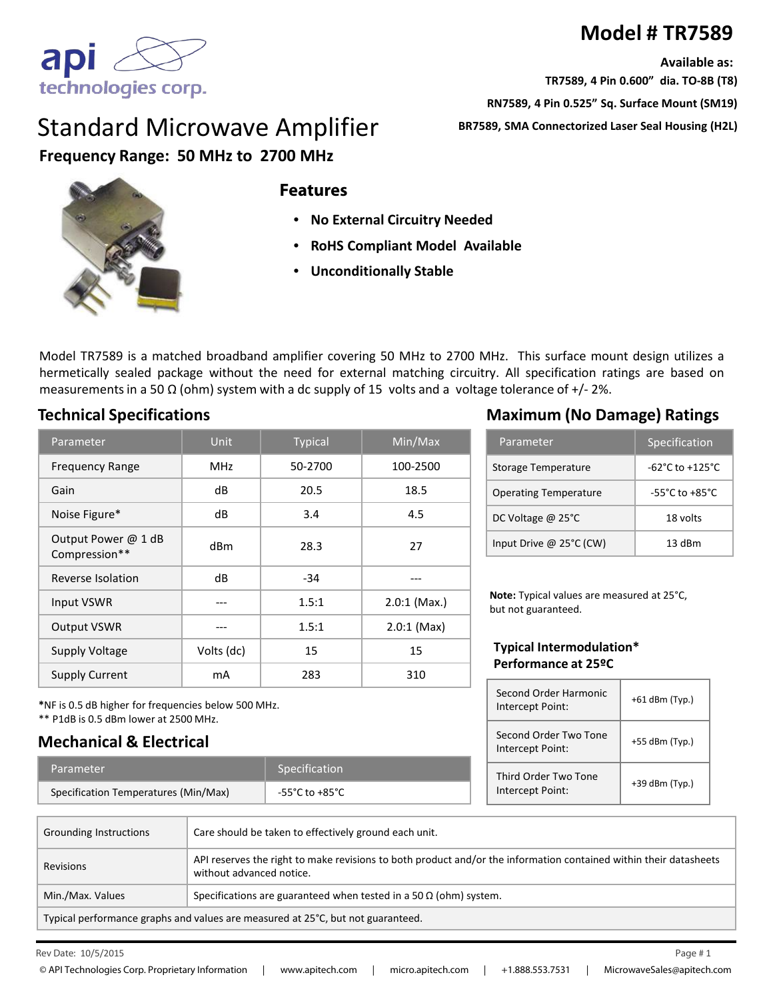# **Model # TR7589**

**Available as:**

**TR7589, 4 Pin 0.600" dia. TO-8B (T8)**

**RN7589, 4 Pin 0.525" Sq. Surface Mount (SM19)**

**BR7589, SMA Connectorized Laser Seal Housing (H2L)**



# Standard Microwave Amplifier **Frequency Range: 50 MHz to 2700 MHz**



#### **Features**

- **No External Circuitry Needed**
- **RoHS Compliant Model Available**
- **Unconditionally Stable**

Model TR7589 is a matched broadband amplifier covering 50 MHz to 2700 MHz. This surface mount design utilizes a hermetically sealed package without the need for external matching circuitry. All specification ratings are based on measurements in a 50  $\Omega$  (ohm) system with a dc supply of 15 volts and a voltage tolerance of +/-2%.

### **Technical Specifications Maximum (No Damage) Ratings**

**Mechanical & Electrical**

\*\* P1dB is 0.5 dBm lower at 2500 MHz.

**\***NF is 0.5 dB higher for frequencies below 500 MHz.

Parameter Specification Specification Temperatures (Min/Max) -55°C to +85°C

| Parameter                            | <b>Unit</b> | <b>Typical</b> | Min/Max        |
|--------------------------------------|-------------|----------------|----------------|
| <b>Frequency Range</b>               | <b>MHz</b>  | 50-2700        | 100-2500       |
| Gain                                 | dB          | 20.5           | 18.5           |
| Noise Figure*                        | dB          | 3.4            | 4.5            |
| Output Power @ 1 dB<br>Compression** | dBm         | 28.3           | 27             |
| Reverse Isolation                    | dB          | $-34$          |                |
| Input VSWR                           |             | 1.5:1          | $2.0:1$ (Max.) |
| <b>Output VSWR</b>                   |             | 1.5:1          | $2.0:1$ (Max)  |
| <b>Supply Voltage</b>                | Volts (dc)  | 15             | 15             |
| <b>Supply Current</b>                | mA          | 283            | 310            |

Parameter Specification

| Storage Temperature          | $-62^{\circ}$ C to $+125^{\circ}$ C |
|------------------------------|-------------------------------------|
| <b>Operating Temperature</b> | $-55^{\circ}$ C to $+85^{\circ}$ C  |
| DC Voltage @ 25°C            | 18 volts                            |
| Input Drive @ 25°C (CW)      | $13$ dBm                            |

**Note:** Typical values are measured at 25°C, but not guaranteed.

#### **Typical Intermodulation\* Performance at 25ºC**

| Second Order Harmonic<br>Intercept Point: | $+61$ dBm (Typ.) |
|-------------------------------------------|------------------|
| Second Order Two Tone<br>Intercept Point: | $+55$ dBm (Typ.) |
| Third Order Two Tone<br>Intercept Point:  | +39 dBm (Typ.)   |

| Grounding Instructions                                                          | Care should be taken to effectively ground each unit.                                                                                         |  |
|---------------------------------------------------------------------------------|-----------------------------------------------------------------------------------------------------------------------------------------------|--|
| <b>Revisions</b>                                                                | API reserves the right to make revisions to both product and/or the information contained within their datasheets<br>without advanced notice. |  |
| Min./Max. Values                                                                | Specifications are guaranteed when tested in a 50 $\Omega$ (ohm) system.                                                                      |  |
| Typical performance graphs and values are measured at 25°C, but not guaranteed. |                                                                                                                                               |  |

Rev Date:  $10/5/2015$  Page  $\#1$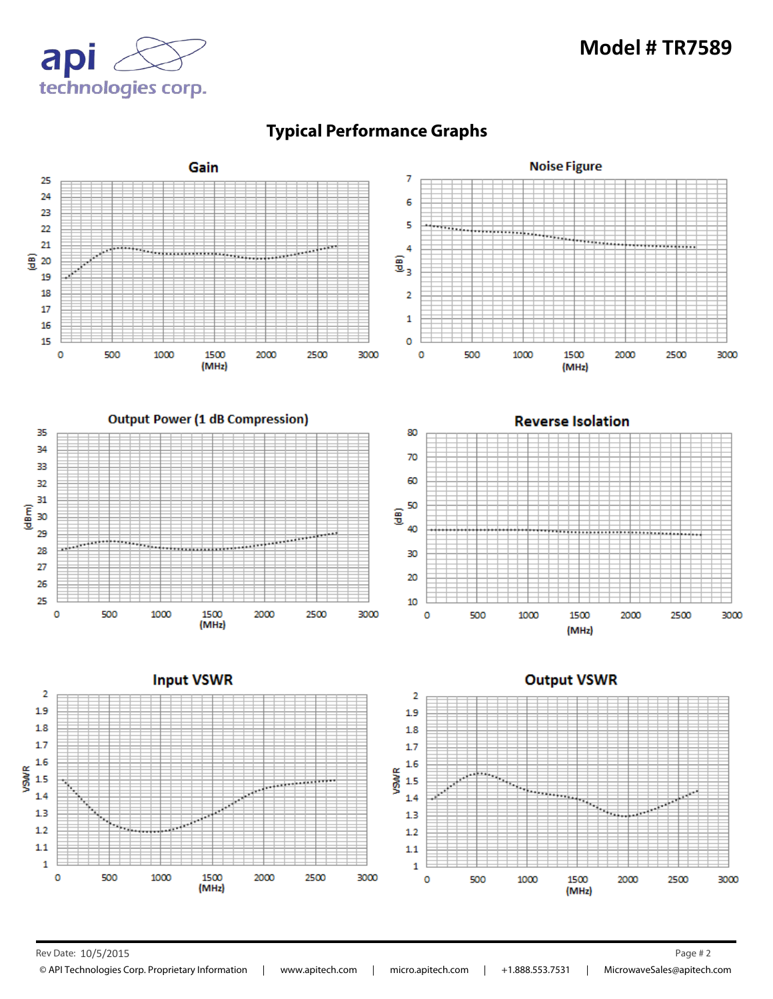



## **Typical Performance Graphs**

Rev Date: 10/5/2015 Page # 2

© API Technologies Corp. Proprietary Information | www.apitech.com | micro.apitech.com | +1.888.553.7531 | MicrowaveSales@apitech.com